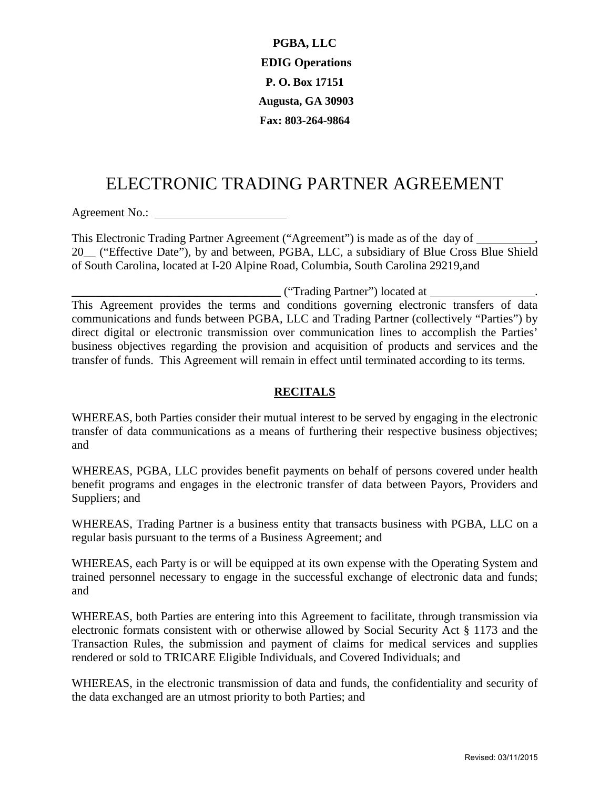**PGBA, LLC EDIG Operations P. O. Box 17151 Augusta, GA 30903 Fax: 803-264-9864** 

# ELECTRONIC TRADING PARTNER AGREEMENT

Agreement No.:

This Electronic Trading Partner Agreement ("Agreement") is made as of the day of , 20\_\_ ("Effective Date"), by and between, PGBA, LLC, a subsidiary of Blue Cross Blue Shield of South Carolina, located at I-20 Alpine Road, Columbia, South Carolina 29219,and

\_\_\_\_\_\_\_\_\_\_\_\_\_\_\_\_\_\_\_\_\_\_\_\_\_\_\_\_\_\_\_\_\_\_\_ ("Trading Partner") located at .

This Agreement provides the terms and conditions governing electronic transfers of data communications and funds between PGBA, LLC and Trading Partner (collectively "Parties") by direct digital or electronic transmission over communication lines to accomplish the Parties' business objectives regarding the provision and acquisition of products and services and the transfer of funds. This Agreement will remain in effect until terminated according to its terms.

### **RECITALS**

WHEREAS, both Parties consider their mutual interest to be served by engaging in the electronic transfer of data communications as a means of furthering their respective business objectives; and

WHEREAS, PGBA, LLC provides benefit payments on behalf of persons covered under health benefit programs and engages in the electronic transfer of data between Payors, Providers and Suppliers; and

WHEREAS, Trading Partner is a business entity that transacts business with PGBA, LLC on a regular basis pursuant to the terms of a Business Agreement; and

WHEREAS, each Party is or will be equipped at its own expense with the Operating System and trained personnel necessary to engage in the successful exchange of electronic data and funds; and

WHEREAS, both Parties are entering into this Agreement to facilitate, through transmission via electronic formats consistent with or otherwise allowed by Social Security Act § 1173 and the Transaction Rules, the submission and payment of claims for medical services and supplies rendered or sold to TRICARE Eligible Individuals, and Covered Individuals; and

WHEREAS, in the electronic transmission of data and funds, the confidentiality and security of the data exchanged are an utmost priority to both Parties; and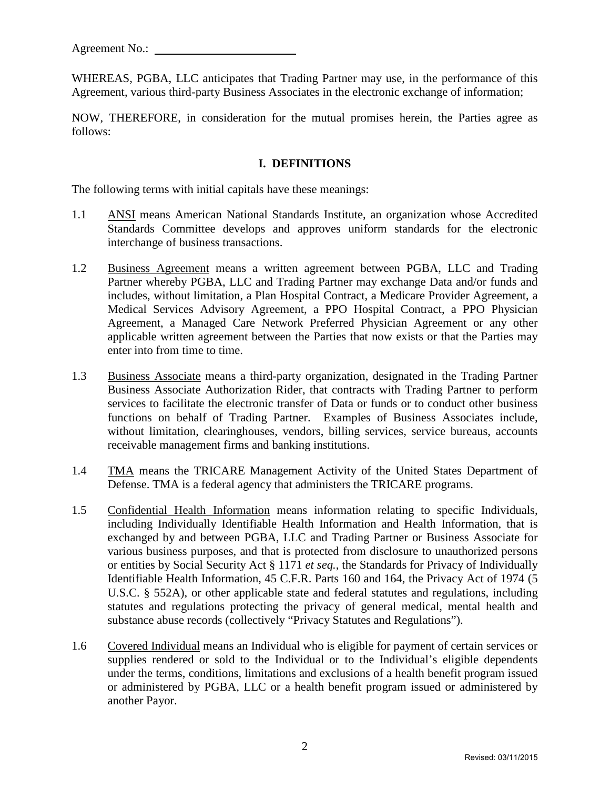WHEREAS, PGBA, LLC anticipates that Trading Partner may use, in the performance of this Agreement, various third-party Business Associates in the electronic exchange of information;

NOW, THEREFORE, in consideration for the mutual promises herein, the Parties agree as follows:

#### **I. DEFINITIONS**

The following terms with initial capitals have these meanings:

- 1.1 ANSI means American National Standards Institute, an organization whose Accredited Standards Committee develops and approves uniform standards for the electronic interchange of business transactions.
- 1.2 Business Agreement means a written agreement between PGBA, LLC and Trading Partner whereby PGBA, LLC and Trading Partner may exchange Data and/or funds and includes, without limitation, a Plan Hospital Contract, a Medicare Provider Agreement, a Medical Services Advisory Agreement, a PPO Hospital Contract, a PPO Physician Agreement, a Managed Care Network Preferred Physician Agreement or any other applicable written agreement between the Parties that now exists or that the Parties may enter into from time to time.
- 1.3 Business Associate means a third-party organization, designated in the Trading Partner Business Associate Authorization Rider, that contracts with Trading Partner to perform services to facilitate the electronic transfer of Data or funds or to conduct other business functions on behalf of Trading Partner. Examples of Business Associates include, without limitation, clearinghouses, vendors, billing services, service bureaus, accounts receivable management firms and banking institutions.
- 1.4 TMA means the TRICARE Management Activity of the United States Department of Defense. TMA is a federal agency that administers the TRICARE programs.
- 1.5 Confidential Health Information means information relating to specific Individuals, including Individually Identifiable Health Information and Health Information, that is exchanged by and between PGBA, LLC and Trading Partner or Business Associate for various business purposes, and that is protected from disclosure to unauthorized persons or entities by Social Security Act § 1171 *et seq.*, the Standards for Privacy of Individually Identifiable Health Information, 45 C.F.R. Parts 160 and 164, the Privacy Act of 1974 (5 U.S.C. § 552A), or other applicable state and federal statutes and regulations, including statutes and regulations protecting the privacy of general medical, mental health and substance abuse records (collectively "Privacy Statutes and Regulations").
- 1.6 Covered Individual means an Individual who is eligible for payment of certain services or supplies rendered or sold to the Individual or to the Individual's eligible dependents under the terms, conditions, limitations and exclusions of a health benefit program issued or administered by PGBA, LLC or a health benefit program issued or administered by another Payor.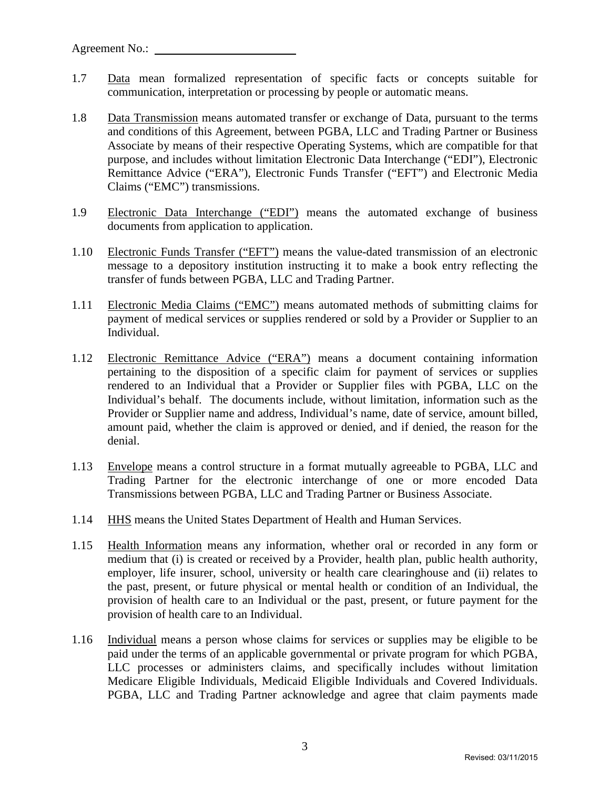- 1.7 Data mean formalized representation of specific facts or concepts suitable for communication, interpretation or processing by people or automatic means.
- 1.8 Data Transmission means automated transfer or exchange of Data, pursuant to the terms and conditions of this Agreement, between PGBA, LLC and Trading Partner or Business Associate by means of their respective Operating Systems, which are compatible for that purpose, and includes without limitation Electronic Data Interchange ("EDI"), Electronic Remittance Advice ("ERA"), Electronic Funds Transfer ("EFT") and Electronic Media Claims ("EMC") transmissions.
- 1.9 Electronic Data Interchange ("EDI") means the automated exchange of business documents from application to application.
- 1.10 Electronic Funds Transfer ("EFT") means the value-dated transmission of an electronic message to a depository institution instructing it to make a book entry reflecting the transfer of funds between PGBA, LLC and Trading Partner.
- 1.11 Electronic Media Claims ("EMC") means automated methods of submitting claims for payment of medical services or supplies rendered or sold by a Provider or Supplier to an Individual.
- 1.12 Electronic Remittance Advice ("ERA") means a document containing information pertaining to the disposition of a specific claim for payment of services or supplies rendered to an Individual that a Provider or Supplier files with PGBA, LLC on the Individual's behalf. The documents include, without limitation, information such as the Provider or Supplier name and address, Individual's name, date of service, amount billed, amount paid, whether the claim is approved or denied, and if denied, the reason for the denial.
- 1.13 Envelope means a control structure in a format mutually agreeable to PGBA, LLC and Trading Partner for the electronic interchange of one or more encoded Data Transmissions between PGBA, LLC and Trading Partner or Business Associate.
- 1.14 **HHS** means the United States Department of Health and Human Services.
- 1.15 Health Information means any information, whether oral or recorded in any form or medium that (i) is created or received by a Provider, health plan, public health authority, employer, life insurer, school, university or health care clearinghouse and (ii) relates to the past, present, or future physical or mental health or condition of an Individual, the provision of health care to an Individual or the past, present, or future payment for the provision of health care to an Individual.
- 1.16 Individual means a person whose claims for services or supplies may be eligible to be paid under the terms of an applicable governmental or private program for which PGBA, LLC processes or administers claims, and specifically includes without limitation Medicare Eligible Individuals, Medicaid Eligible Individuals and Covered Individuals. PGBA, LLC and Trading Partner acknowledge and agree that claim payments made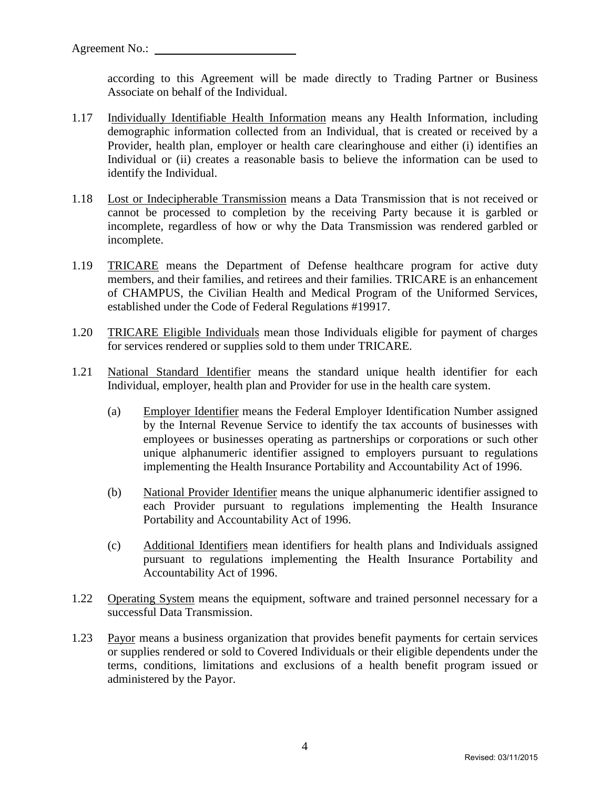according to this Agreement will be made directly to Trading Partner or Business Associate on behalf of the Individual.

- 1.17 Individually Identifiable Health Information means any Health Information, including demographic information collected from an Individual, that is created or received by a Provider, health plan, employer or health care clearinghouse and either (i) identifies an Individual or (ii) creates a reasonable basis to believe the information can be used to identify the Individual.
- 1.18 Lost or Indecipherable Transmission means a Data Transmission that is not received or cannot be processed to completion by the receiving Party because it is garbled or incomplete, regardless of how or why the Data Transmission was rendered garbled or incomplete.
- 1.19 TRICARE means the Department of Defense healthcare program for active duty members, and their families, and retirees and their families. TRICARE is an enhancement of CHAMPUS, the Civilian Health and Medical Program of the Uniformed Services, established under the Code of Federal Regulations #19917.
- 1.20 TRICARE Eligible Individuals mean those Individuals eligible for payment of charges for services rendered or supplies sold to them under TRICARE.
- 1.21 National Standard Identifier means the standard unique health identifier for each Individual, employer, health plan and Provider for use in the health care system.
	- (a) Employer Identifier means the Federal Employer Identification Number assigned by the Internal Revenue Service to identify the tax accounts of businesses with employees or businesses operating as partnerships or corporations or such other unique alphanumeric identifier assigned to employers pursuant to regulations implementing the Health Insurance Portability and Accountability Act of 1996.
	- (b) National Provider Identifier means the unique alphanumeric identifier assigned to each Provider pursuant to regulations implementing the Health Insurance Portability and Accountability Act of 1996.
	- (c) Additional Identifiers mean identifiers for health plans and Individuals assigned pursuant to regulations implementing the Health Insurance Portability and Accountability Act of 1996.
- 1.22 Operating System means the equipment, software and trained personnel necessary for a successful Data Transmission.
- 1.23 Payor means a business organization that provides benefit payments for certain services or supplies rendered or sold to Covered Individuals or their eligible dependents under the terms, conditions, limitations and exclusions of a health benefit program issued or administered by the Payor.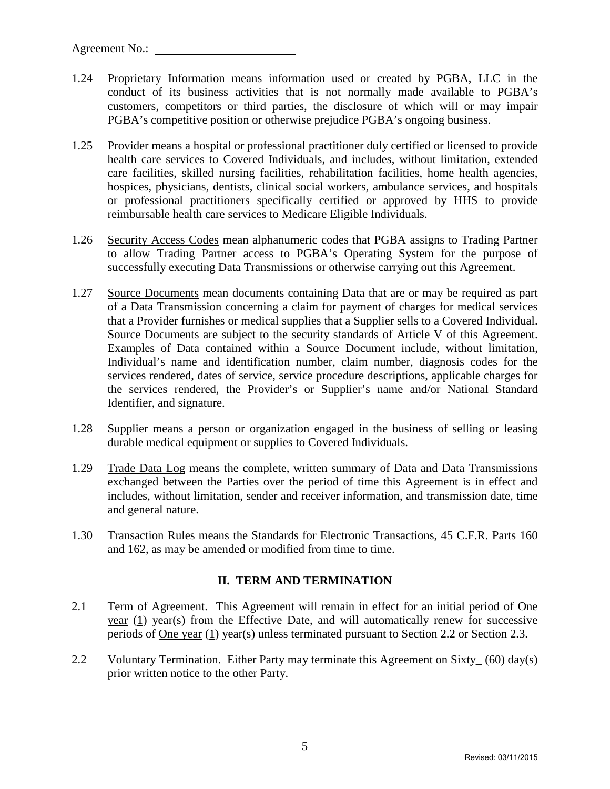- 1.24 Proprietary Information means information used or created by PGBA, LLC in the conduct of its business activities that is not normally made available to PGBA's customers, competitors or third parties, the disclosure of which will or may impair PGBA's competitive position or otherwise prejudice PGBA's ongoing business.
- 1.25 Provider means a hospital or professional practitioner duly certified or licensed to provide health care services to Covered Individuals, and includes, without limitation, extended care facilities, skilled nursing facilities, rehabilitation facilities, home health agencies, hospices, physicians, dentists, clinical social workers, ambulance services, and hospitals or professional practitioners specifically certified or approved by HHS to provide reimbursable health care services to Medicare Eligible Individuals.
- 1.26 Security Access Codes mean alphanumeric codes that PGBA assigns to Trading Partner to allow Trading Partner access to PGBA's Operating System for the purpose of successfully executing Data Transmissions or otherwise carrying out this Agreement.
- 1.27 Source Documents mean documents containing Data that are or may be required as part of a Data Transmission concerning a claim for payment of charges for medical services that a Provider furnishes or medical supplies that a Supplier sells to a Covered Individual. Source Documents are subject to the security standards of Article V of this Agreement. Examples of Data contained within a Source Document include, without limitation, Individual's name and identification number, claim number, diagnosis codes for the services rendered, dates of service, service procedure descriptions, applicable charges for the services rendered, the Provider's or Supplier's name and/or National Standard Identifier, and signature.
- 1.28 Supplier means a person or organization engaged in the business of selling or leasing durable medical equipment or supplies to Covered Individuals.
- 1.29 Trade Data Log means the complete, written summary of Data and Data Transmissions exchanged between the Parties over the period of time this Agreement is in effect and includes, without limitation, sender and receiver information, and transmission date, time and general nature.
- 1.30 Transaction Rules means the Standards for Electronic Transactions, 45 C.F.R. Parts 160 and 162, as may be amended or modified from time to time.

# **II. TERM AND TERMINATION**

- 2.1 Term of Agreement. This Agreement will remain in effect for an initial period of One year (1) year(s) from the Effective Date, and will automatically renew for successive periods of One year (1) year(s) unless terminated pursuant to Section 2.2 or Section 2.3.
- 2.2 Voluntary Termination. Either Party may terminate this Agreement on Sixty (60) day(s) prior written notice to the other Party.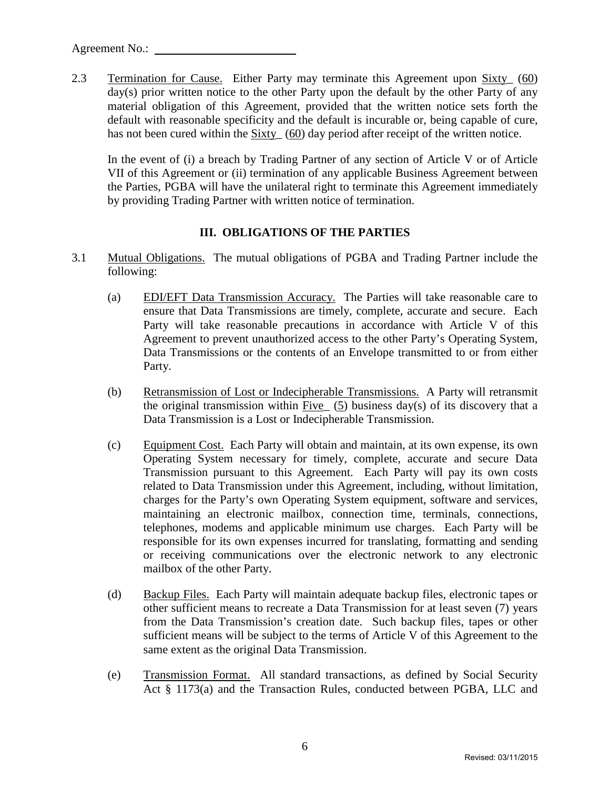2.3 Termination for Cause. Either Party may terminate this Agreement upon Sixty\_ (60) day(s) prior written notice to the other Party upon the default by the other Party of any material obligation of this Agreement, provided that the written notice sets forth the default with reasonable specificity and the default is incurable or, being capable of cure, has not been cured within the Sixty (60) day period after receipt of the written notice.

In the event of (i) a breach by Trading Partner of any section of Article V or of Article VII of this Agreement or (ii) termination of any applicable Business Agreement between the Parties, PGBA will have the unilateral right to terminate this Agreement immediately by providing Trading Partner with written notice of termination.

#### **III. OBLIGATIONS OF THE PARTIES**

- 3.1 Mutual Obligations. The mutual obligations of PGBA and Trading Partner include the following:
	- (a) EDI/EFT Data Transmission Accuracy. The Parties will take reasonable care to ensure that Data Transmissions are timely, complete, accurate and secure. Each Party will take reasonable precautions in accordance with Article V of this Agreement to prevent unauthorized access to the other Party's Operating System, Data Transmissions or the contents of an Envelope transmitted to or from either Party.
	- (b) Retransmission of Lost or Indecipherable Transmissions. A Party will retransmit the original transmission within Five  $(5)$  business day(s) of its discovery that a Data Transmission is a Lost or Indecipherable Transmission.
	- (c) Equipment Cost. Each Party will obtain and maintain, at its own expense, its own Operating System necessary for timely, complete, accurate and secure Data Transmission pursuant to this Agreement. Each Party will pay its own costs related to Data Transmission under this Agreement, including, without limitation, charges for the Party's own Operating System equipment, software and services, maintaining an electronic mailbox, connection time, terminals, connections, telephones, modems and applicable minimum use charges. Each Party will be responsible for its own expenses incurred for translating, formatting and sending or receiving communications over the electronic network to any electronic mailbox of the other Party.
	- (d) Backup Files. Each Party will maintain adequate backup files, electronic tapes or other sufficient means to recreate a Data Transmission for at least seven (7) years from the Data Transmission's creation date. Such backup files, tapes or other sufficient means will be subject to the terms of Article V of this Agreement to the same extent as the original Data Transmission.
	- (e) Transmission Format. All standard transactions, as defined by Social Security Act § 1173(a) and the Transaction Rules, conducted between PGBA, LLC and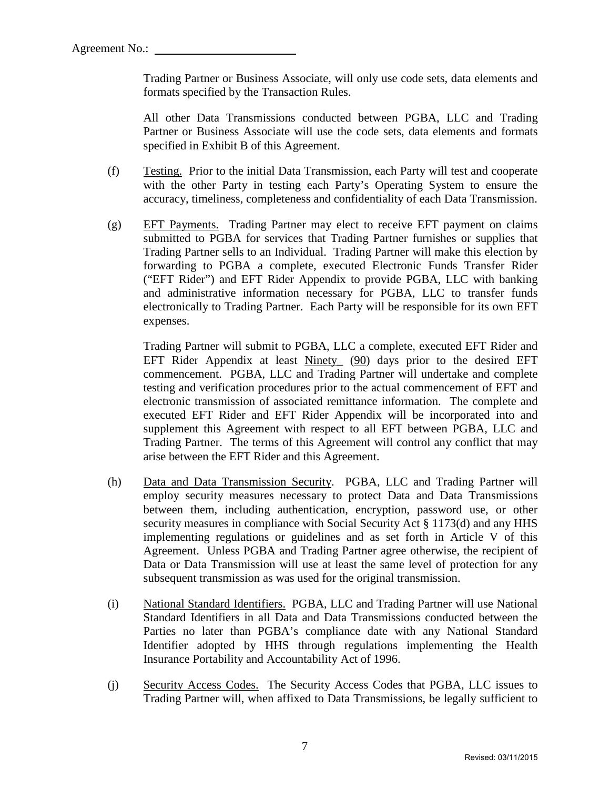Trading Partner or Business Associate, will only use code sets, data elements and formats specified by the Transaction Rules.

All other Data Transmissions conducted between PGBA, LLC and Trading Partner or Business Associate will use the code sets, data elements and formats specified in Exhibit B of this Agreement.

- (f) Testing. Prior to the initial Data Transmission, each Party will test and cooperate with the other Party in testing each Party's Operating System to ensure the accuracy, timeliness, completeness and confidentiality of each Data Transmission.
- (g) EFT Payments. Trading Partner may elect to receive EFT payment on claims submitted to PGBA for services that Trading Partner furnishes or supplies that Trading Partner sells to an Individual. Trading Partner will make this election by forwarding to PGBA a complete, executed Electronic Funds Transfer Rider ("EFT Rider") and EFT Rider Appendix to provide PGBA, LLC with banking and administrative information necessary for PGBA, LLC to transfer funds electronically to Trading Partner. Each Party will be responsible for its own EFT expenses.

Trading Partner will submit to PGBA, LLC a complete, executed EFT Rider and EFT Rider Appendix at least Ninety\_ (90) days prior to the desired EFT commencement. PGBA, LLC and Trading Partner will undertake and complete testing and verification procedures prior to the actual commencement of EFT and electronic transmission of associated remittance information. The complete and executed EFT Rider and EFT Rider Appendix will be incorporated into and supplement this Agreement with respect to all EFT between PGBA, LLC and Trading Partner. The terms of this Agreement will control any conflict that may arise between the EFT Rider and this Agreement.

- (h) Data and Data Transmission Security. PGBA, LLC and Trading Partner will employ security measures necessary to protect Data and Data Transmissions between them, including authentication, encryption, password use, or other security measures in compliance with Social Security Act § 1173(d) and any HHS implementing regulations or guidelines and as set forth in Article V of this Agreement. Unless PGBA and Trading Partner agree otherwise, the recipient of Data or Data Transmission will use at least the same level of protection for any subsequent transmission as was used for the original transmission.
- (i) National Standard Identifiers. PGBA, LLC and Trading Partner will use National Standard Identifiers in all Data and Data Transmissions conducted between the Parties no later than PGBA's compliance date with any National Standard Identifier adopted by HHS through regulations implementing the Health Insurance Portability and Accountability Act of 1996.
- (j) Security Access Codes. The Security Access Codes that PGBA, LLC issues to Trading Partner will, when affixed to Data Transmissions, be legally sufficient to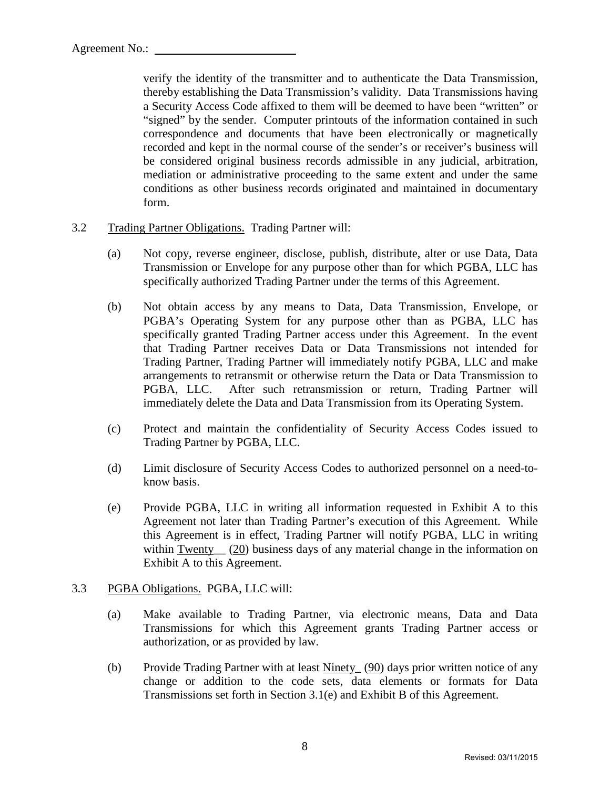verify the identity of the transmitter and to authenticate the Data Transmission, thereby establishing the Data Transmission's validity. Data Transmissions having a Security Access Code affixed to them will be deemed to have been "written" or "signed" by the sender. Computer printouts of the information contained in such correspondence and documents that have been electronically or magnetically recorded and kept in the normal course of the sender's or receiver's business will be considered original business records admissible in any judicial, arbitration, mediation or administrative proceeding to the same extent and under the same conditions as other business records originated and maintained in documentary form.

- 3.2 Trading Partner Obligations. Trading Partner will:
	- (a) Not copy, reverse engineer, disclose, publish, distribute, alter or use Data, Data Transmission or Envelope for any purpose other than for which PGBA, LLC has specifically authorized Trading Partner under the terms of this Agreement.
	- (b) Not obtain access by any means to Data, Data Transmission, Envelope, or PGBA's Operating System for any purpose other than as PGBA, LLC has specifically granted Trading Partner access under this Agreement. In the event that Trading Partner receives Data or Data Transmissions not intended for Trading Partner, Trading Partner will immediately notify PGBA, LLC and make arrangements to retransmit or otherwise return the Data or Data Transmission to PGBA, LLC. After such retransmission or return, Trading Partner will immediately delete the Data and Data Transmission from its Operating System.
	- (c) Protect and maintain the confidentiality of Security Access Codes issued to Trading Partner by PGBA, LLC.
	- (d) Limit disclosure of Security Access Codes to authorized personnel on a need-toknow basis.
	- (e) Provide PGBA, LLC in writing all information requested in Exhibit A to this Agreement not later than Trading Partner's execution of this Agreement. While this Agreement is in effect, Trading Partner will notify PGBA, LLC in writing within Twenty (20) business days of any material change in the information on Exhibit A to this Agreement.
- 3.3 PGBA Obligations. PGBA, LLC will:
	- (a) Make available to Trading Partner, via electronic means, Data and Data Transmissions for which this Agreement grants Trading Partner access or authorization, or as provided by law.
	- (b) Provide Trading Partner with at least Ninety\_ (90) days prior written notice of any change or addition to the code sets, data elements or formats for Data Transmissions set forth in Section 3.1(e) and Exhibit B of this Agreement.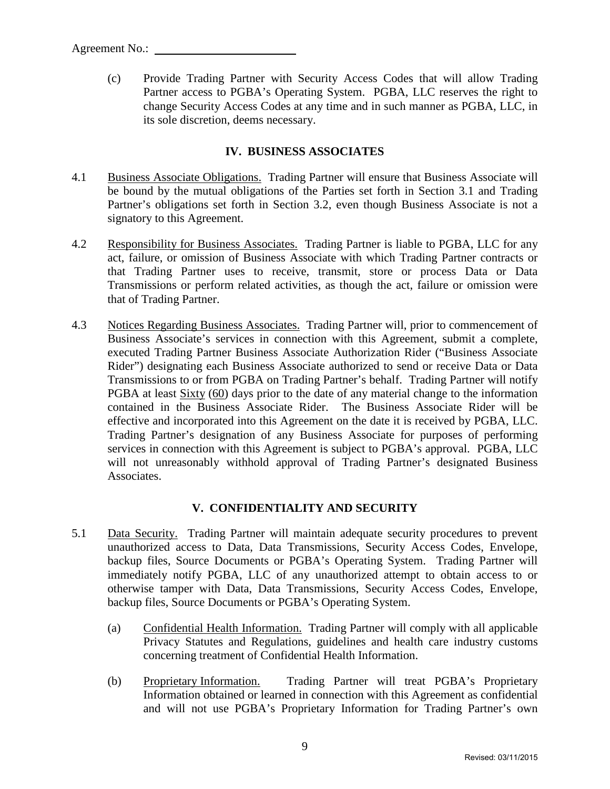(c) Provide Trading Partner with Security Access Codes that will allow Trading Partner access to PGBA's Operating System. PGBA, LLC reserves the right to change Security Access Codes at any time and in such manner as PGBA, LLC, in its sole discretion, deems necessary.

# **IV. BUSINESS ASSOCIATES**

- 4.1 Business Associate Obligations. Trading Partner will ensure that Business Associate will be bound by the mutual obligations of the Parties set forth in Section 3.1 and Trading Partner's obligations set forth in Section 3.2, even though Business Associate is not a signatory to this Agreement.
- 4.2 Responsibility for Business Associates. Trading Partner is liable to PGBA, LLC for any act, failure, or omission of Business Associate with which Trading Partner contracts or that Trading Partner uses to receive, transmit, store or process Data or Data Transmissions or perform related activities, as though the act, failure or omission were that of Trading Partner.
- 4.3 Notices Regarding Business Associates. Trading Partner will, prior to commencement of Business Associate's services in connection with this Agreement, submit a complete, executed Trading Partner Business Associate Authorization Rider ("Business Associate Rider") designating each Business Associate authorized to send or receive Data or Data Transmissions to or from PGBA on Trading Partner's behalf. Trading Partner will notify PGBA at least Sixty (60) days prior to the date of any material change to the information contained in the Business Associate Rider. The Business Associate Rider will be effective and incorporated into this Agreement on the date it is received by PGBA, LLC. Trading Partner's designation of any Business Associate for purposes of performing services in connection with this Agreement is subject to PGBA's approval. PGBA, LLC will not unreasonably withhold approval of Trading Partner's designated Business Associates.

# **V. CONFIDENTIALITY AND SECURITY**

- 5.1 Data Security. Trading Partner will maintain adequate security procedures to prevent unauthorized access to Data, Data Transmissions, Security Access Codes, Envelope, backup files, Source Documents or PGBA's Operating System. Trading Partner will immediately notify PGBA, LLC of any unauthorized attempt to obtain access to or otherwise tamper with Data, Data Transmissions, Security Access Codes, Envelope, backup files, Source Documents or PGBA's Operating System.
	- (a) Confidential Health Information. Trading Partner will comply with all applicable Privacy Statutes and Regulations, guidelines and health care industry customs concerning treatment of Confidential Health Information.
	- (b) Proprietary Information. Trading Partner will treat PGBA's Proprietary Information obtained or learned in connection with this Agreement as confidential and will not use PGBA's Proprietary Information for Trading Partner's own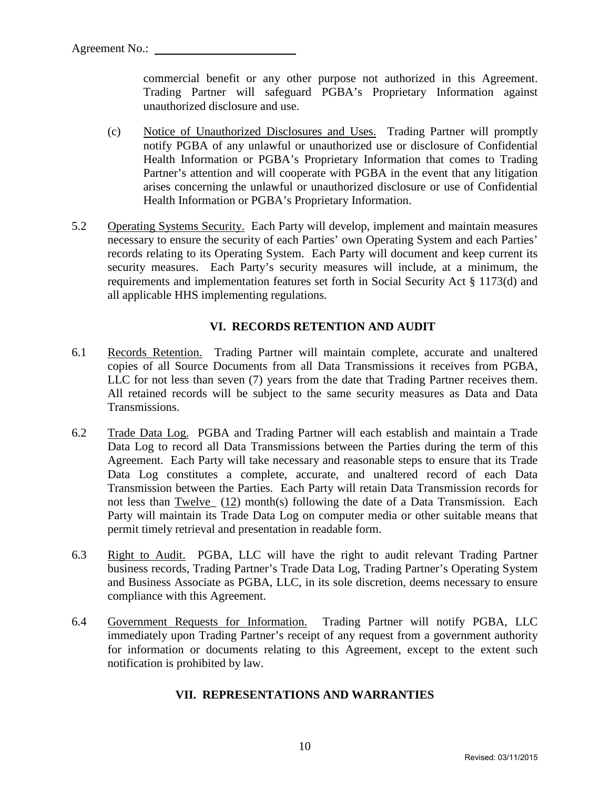commercial benefit or any other purpose not authorized in this Agreement. Trading Partner will safeguard PGBA's Proprietary Information against unauthorized disclosure and use.

- (c) Notice of Unauthorized Disclosures and Uses. Trading Partner will promptly notify PGBA of any unlawful or unauthorized use or disclosure of Confidential Health Information or PGBA's Proprietary Information that comes to Trading Partner's attention and will cooperate with PGBA in the event that any litigation arises concerning the unlawful or unauthorized disclosure or use of Confidential Health Information or PGBA's Proprietary Information.
- 5.2 Operating Systems Security. Each Party will develop, implement and maintain measures necessary to ensure the security of each Parties' own Operating System and each Parties' records relating to its Operating System. Each Party will document and keep current its security measures. Each Party's security measures will include, at a minimum, the requirements and implementation features set forth in Social Security Act § 1173(d) and all applicable HHS implementing regulations.

#### **VI. RECORDS RETENTION AND AUDIT**

- 6.1 Records Retention. Trading Partner will maintain complete, accurate and unaltered copies of all Source Documents from all Data Transmissions it receives from PGBA, LLC for not less than seven (7) years from the date that Trading Partner receives them. All retained records will be subject to the same security measures as Data and Data Transmissions.
- 6.2 Trade Data Log. PGBA and Trading Partner will each establish and maintain a Trade Data Log to record all Data Transmissions between the Parties during the term of this Agreement. Each Party will take necessary and reasonable steps to ensure that its Trade Data Log constitutes a complete, accurate, and unaltered record of each Data Transmission between the Parties. Each Party will retain Data Transmission records for not less than Twelve (12) month(s) following the date of a Data Transmission. Each Party will maintain its Trade Data Log on computer media or other suitable means that permit timely retrieval and presentation in readable form.
- 6.3 Right to Audit. PGBA, LLC will have the right to audit relevant Trading Partner business records, Trading Partner's Trade Data Log, Trading Partner's Operating System and Business Associate as PGBA, LLC, in its sole discretion, deems necessary to ensure compliance with this Agreement.
- 6.4 Government Requests for Information. Trading Partner will notify PGBA, LLC immediately upon Trading Partner's receipt of any request from a government authority for information or documents relating to this Agreement, except to the extent such notification is prohibited by law.

#### **VII. REPRESENTATIONS AND WARRANTIES**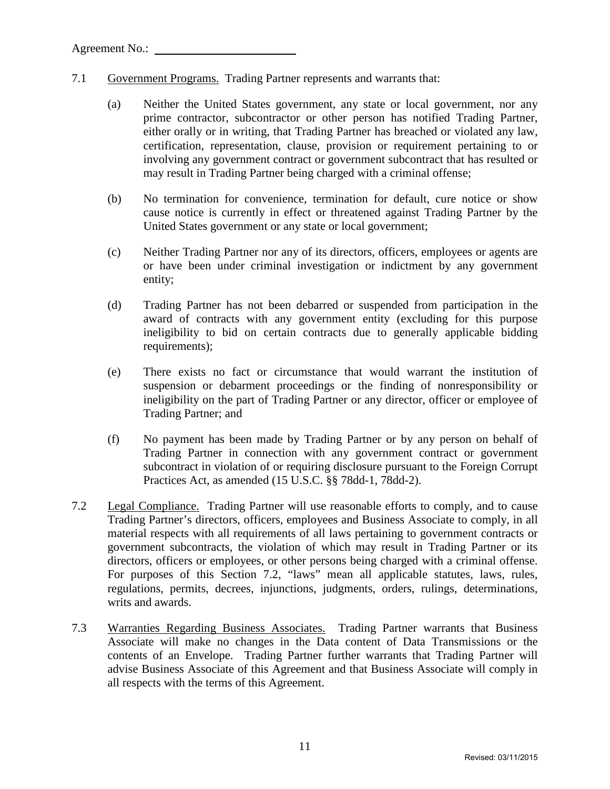- 7.1 Government Programs. Trading Partner represents and warrants that:
	- (a) Neither the United States government, any state or local government, nor any prime contractor, subcontractor or other person has notified Trading Partner, either orally or in writing, that Trading Partner has breached or violated any law, certification, representation, clause, provision or requirement pertaining to or involving any government contract or government subcontract that has resulted or may result in Trading Partner being charged with a criminal offense;
	- (b) No termination for convenience, termination for default, cure notice or show cause notice is currently in effect or threatened against Trading Partner by the United States government or any state or local government;
	- (c) Neither Trading Partner nor any of its directors, officers, employees or agents are or have been under criminal investigation or indictment by any government entity;
	- (d) Trading Partner has not been debarred or suspended from participation in the award of contracts with any government entity (excluding for this purpose ineligibility to bid on certain contracts due to generally applicable bidding requirements);
	- (e) There exists no fact or circumstance that would warrant the institution of suspension or debarment proceedings or the finding of nonresponsibility or ineligibility on the part of Trading Partner or any director, officer or employee of Trading Partner; and
	- (f) No payment has been made by Trading Partner or by any person on behalf of Trading Partner in connection with any government contract or government subcontract in violation of or requiring disclosure pursuant to the Foreign Corrupt Practices Act, as amended (15 U.S.C. §§ 78dd-1, 78dd-2).
- 7.2 Legal Compliance. Trading Partner will use reasonable efforts to comply, and to cause Trading Partner's directors, officers, employees and Business Associate to comply, in all material respects with all requirements of all laws pertaining to government contracts or government subcontracts, the violation of which may result in Trading Partner or its directors, officers or employees, or other persons being charged with a criminal offense. For purposes of this Section 7.2, "laws" mean all applicable statutes, laws, rules, regulations, permits, decrees, injunctions, judgments, orders, rulings, determinations, writs and awards.
- 7.3 Warranties Regarding Business Associates. Trading Partner warrants that Business Associate will make no changes in the Data content of Data Transmissions or the contents of an Envelope. Trading Partner further warrants that Trading Partner will advise Business Associate of this Agreement and that Business Associate will comply in all respects with the terms of this Agreement.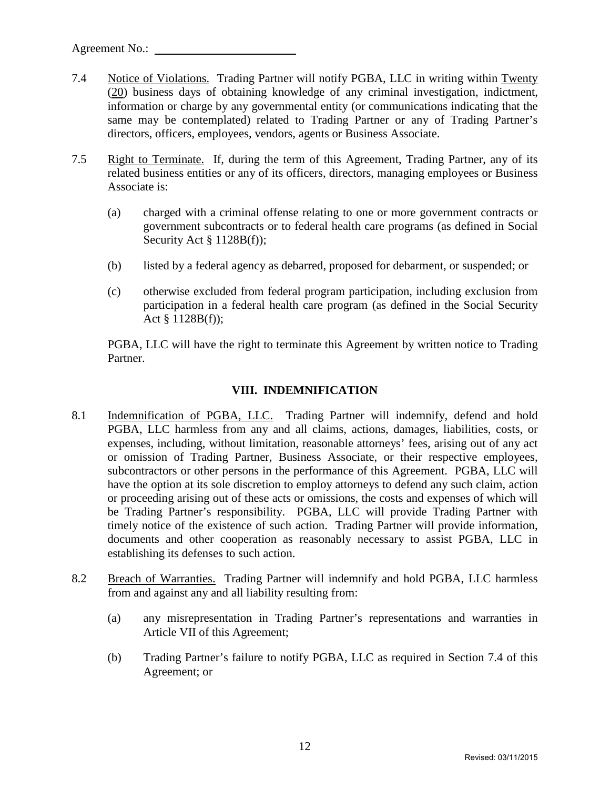- 7.4 Notice of Violations. Trading Partner will notify PGBA, LLC in writing within Twenty (20) business days of obtaining knowledge of any criminal investigation, indictment, information or charge by any governmental entity (or communications indicating that the same may be contemplated) related to Trading Partner or any of Trading Partner's directors, officers, employees, vendors, agents or Business Associate.
- 7.5 Right to Terminate. If, during the term of this Agreement, Trading Partner, any of its related business entities or any of its officers, directors, managing employees or Business Associate is:
	- (a) charged with a criminal offense relating to one or more government contracts or government subcontracts or to federal health care programs (as defined in Social Security Act § 1128B(f));
	- (b) listed by a federal agency as debarred, proposed for debarment, or suspended; or
	- (c) otherwise excluded from federal program participation, including exclusion from participation in a federal health care program (as defined in the Social Security Act § 1128B(f));

PGBA, LLC will have the right to terminate this Agreement by written notice to Trading Partner.

#### **VIII. INDEMNIFICATION**

- 8.1 Indemnification of PGBA, LLC. Trading Partner will indemnify, defend and hold PGBA, LLC harmless from any and all claims, actions, damages, liabilities, costs, or expenses, including, without limitation, reasonable attorneys' fees, arising out of any act or omission of Trading Partner, Business Associate, or their respective employees, subcontractors or other persons in the performance of this Agreement. PGBA, LLC will have the option at its sole discretion to employ attorneys to defend any such claim, action or proceeding arising out of these acts or omissions, the costs and expenses of which will be Trading Partner's responsibility. PGBA, LLC will provide Trading Partner with timely notice of the existence of such action. Trading Partner will provide information, documents and other cooperation as reasonably necessary to assist PGBA, LLC in establishing its defenses to such action.
- 8.2 Breach of Warranties. Trading Partner will indemnify and hold PGBA, LLC harmless from and against any and all liability resulting from:
	- (a) any misrepresentation in Trading Partner's representations and warranties in Article VII of this Agreement;
	- (b) Trading Partner's failure to notify PGBA, LLC as required in Section 7.4 of this Agreement; or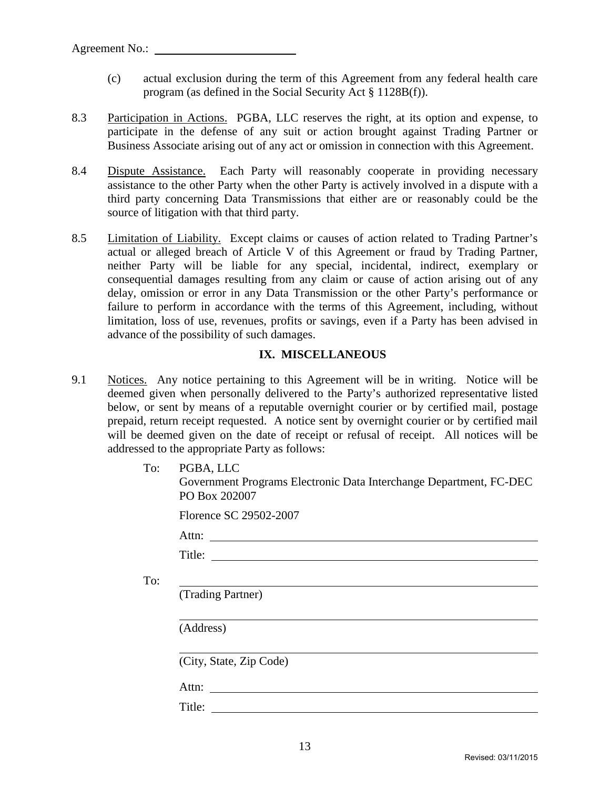- (c) actual exclusion during the term of this Agreement from any federal health care program (as defined in the Social Security Act § 1128B(f)).
- 8.3 Participation in Actions. PGBA, LLC reserves the right, at its option and expense, to participate in the defense of any suit or action brought against Trading Partner or Business Associate arising out of any act or omission in connection with this Agreement.
- 8.4 Dispute Assistance. Each Party will reasonably cooperate in providing necessary assistance to the other Party when the other Party is actively involved in a dispute with a third party concerning Data Transmissions that either are or reasonably could be the source of litigation with that third party.
- 8.5 Limitation of Liability. Except claims or causes of action related to Trading Partner's actual or alleged breach of Article V of this Agreement or fraud by Trading Partner, neither Party will be liable for any special, incidental, indirect, exemplary or consequential damages resulting from any claim or cause of action arising out of any delay, omission or error in any Data Transmission or the other Party's performance or failure to perform in accordance with the terms of this Agreement, including, without limitation, loss of use, revenues, profits or savings, even if a Party has been advised in advance of the possibility of such damages.

#### **IX. MISCELLANEOUS**

- 9.1 Notices. Any notice pertaining to this Agreement will be in writing. Notice will be deemed given when personally delivered to the Party's authorized representative listed below, or sent by means of a reputable overnight courier or by certified mail, postage prepaid, return receipt requested. A notice sent by overnight courier or by certified mail will be deemed given on the date of receipt or refusal of receipt. All notices will be addressed to the appropriate Party as follows:
	- To: PGBA, LLC

To:

Government Programs Electronic Data Interchange Department, FC-DEC

| PO Box 202007           |                                                      |  |  |
|-------------------------|------------------------------------------------------|--|--|
| Florence SC 29502-2007  |                                                      |  |  |
|                         |                                                      |  |  |
|                         |                                                      |  |  |
|                         |                                                      |  |  |
| (Trading Partner)       |                                                      |  |  |
|                         |                                                      |  |  |
| (Address)               |                                                      |  |  |
| (City, State, Zip Code) |                                                      |  |  |
| Attn:                   | <u> 1989 - Andrea Stadt Britain, marwolaeth a bh</u> |  |  |
|                         |                                                      |  |  |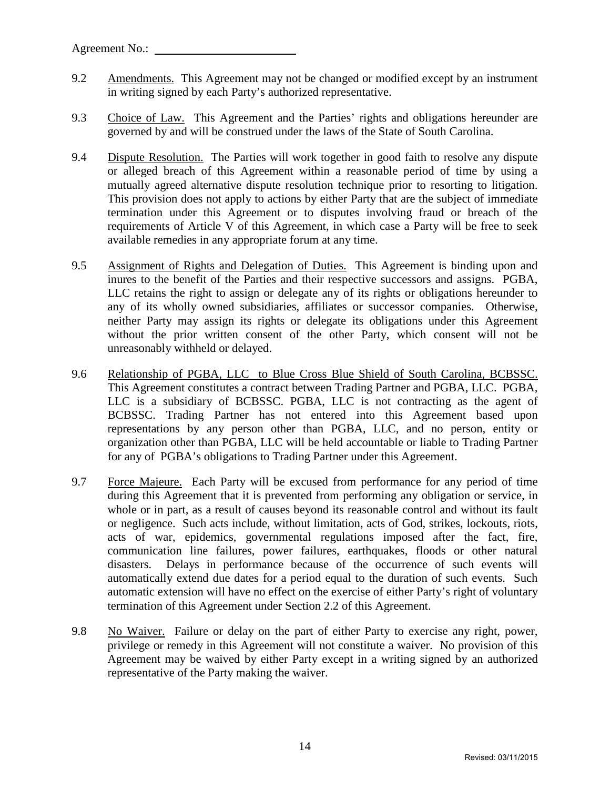- 9.2 Amendments. This Agreement may not be changed or modified except by an instrument in writing signed by each Party's authorized representative.
- 9.3 Choice of Law. This Agreement and the Parties' rights and obligations hereunder are governed by and will be construed under the laws of the State of South Carolina.
- 9.4 Dispute Resolution. The Parties will work together in good faith to resolve any dispute or alleged breach of this Agreement within a reasonable period of time by using a mutually agreed alternative dispute resolution technique prior to resorting to litigation. This provision does not apply to actions by either Party that are the subject of immediate termination under this Agreement or to disputes involving fraud or breach of the requirements of Article V of this Agreement, in which case a Party will be free to seek available remedies in any appropriate forum at any time.
- 9.5 Assignment of Rights and Delegation of Duties. This Agreement is binding upon and inures to the benefit of the Parties and their respective successors and assigns. PGBA, LLC retains the right to assign or delegate any of its rights or obligations hereunder to any of its wholly owned subsidiaries, affiliates or successor companies. Otherwise, neither Party may assign its rights or delegate its obligations under this Agreement without the prior written consent of the other Party, which consent will not be unreasonably withheld or delayed.
- 9.6 Relationship of PGBA, LLC to Blue Cross Blue Shield of South Carolina, BCBSSC. This Agreement constitutes a contract between Trading Partner and PGBA, LLC. PGBA, LLC is a subsidiary of BCBSSC. PGBA, LLC is not contracting as the agent of BCBSSC. Trading Partner has not entered into this Agreement based upon representations by any person other than PGBA, LLC, and no person, entity or organization other than PGBA, LLC will be held accountable or liable to Trading Partner for any of PGBA's obligations to Trading Partner under this Agreement.
- 9.7 Force Majeure. Each Party will be excused from performance for any period of time during this Agreement that it is prevented from performing any obligation or service, in whole or in part, as a result of causes beyond its reasonable control and without its fault or negligence. Such acts include, without limitation, acts of God, strikes, lockouts, riots, acts of war, epidemics, governmental regulations imposed after the fact, fire, communication line failures, power failures, earthquakes, floods or other natural disasters. Delays in performance because of the occurrence of such events will automatically extend due dates for a period equal to the duration of such events. Such automatic extension will have no effect on the exercise of either Party's right of voluntary termination of this Agreement under Section 2.2 of this Agreement.
- 9.8 No Waiver. Failure or delay on the part of either Party to exercise any right, power, privilege or remedy in this Agreement will not constitute a waiver. No provision of this Agreement may be waived by either Party except in a writing signed by an authorized representative of the Party making the waiver.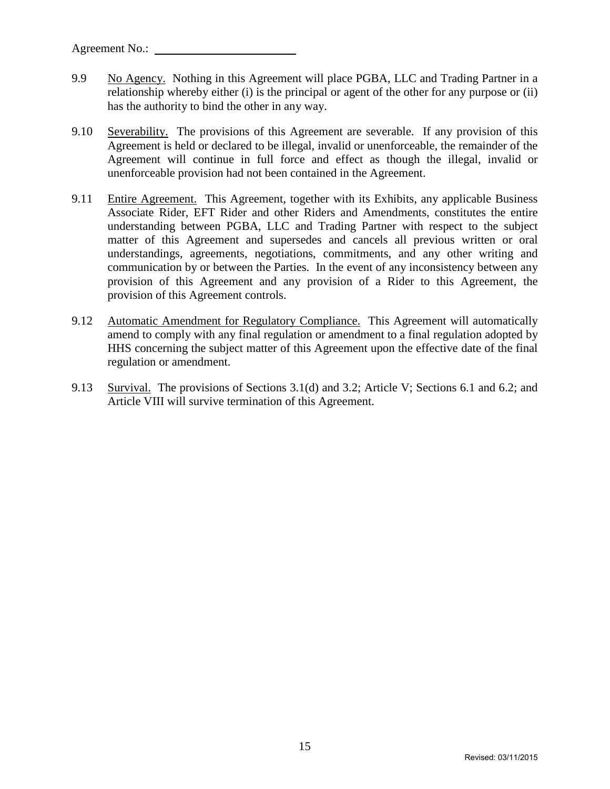- 9.9 No Agency. Nothing in this Agreement will place PGBA, LLC and Trading Partner in a relationship whereby either (i) is the principal or agent of the other for any purpose or (ii) has the authority to bind the other in any way.
- 9.10 Severability. The provisions of this Agreement are severable. If any provision of this Agreement is held or declared to be illegal, invalid or unenforceable, the remainder of the Agreement will continue in full force and effect as though the illegal, invalid or unenforceable provision had not been contained in the Agreement.
- 9.11 Entire Agreement. This Agreement, together with its Exhibits, any applicable Business Associate Rider, EFT Rider and other Riders and Amendments, constitutes the entire understanding between PGBA, LLC and Trading Partner with respect to the subject matter of this Agreement and supersedes and cancels all previous written or oral understandings, agreements, negotiations, commitments, and any other writing and communication by or between the Parties. In the event of any inconsistency between any provision of this Agreement and any provision of a Rider to this Agreement, the provision of this Agreement controls.
- 9.12 Automatic Amendment for Regulatory Compliance. This Agreement will automatically amend to comply with any final regulation or amendment to a final regulation adopted by HHS concerning the subject matter of this Agreement upon the effective date of the final regulation or amendment.
- 9.13 Survival. The provisions of Sections 3.1(d) and 3.2; Article V; Sections 6.1 and 6.2; and Article VIII will survive termination of this Agreement.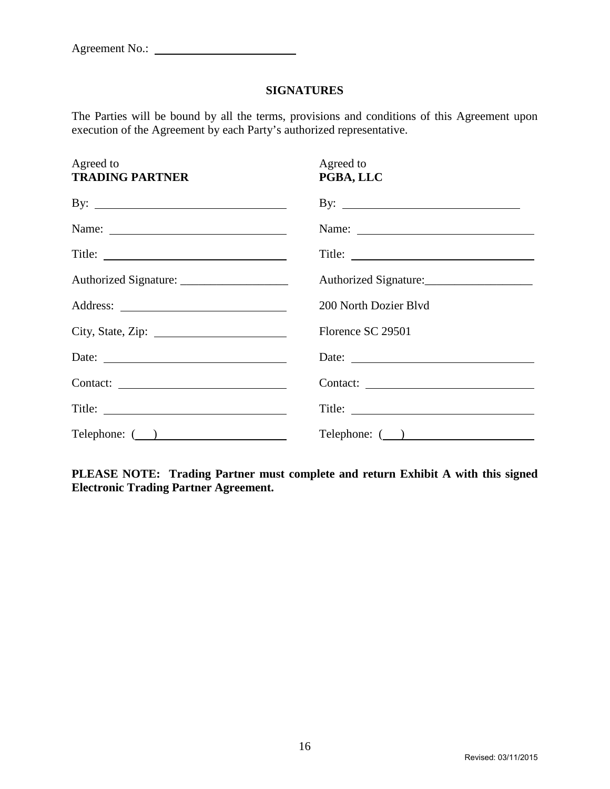#### **SIGNATURES**

The Parties will be bound by all the terms, provisions and conditions of this Agreement upon execution of the Agreement by each Party's authorized representative.

| Agreed to<br><b>TRADING PARTNER</b>           | Agreed to<br>PGBA, LLC       |
|-----------------------------------------------|------------------------------|
| By: $\qquad \qquad$                           | By: $\qquad \qquad$          |
|                                               |                              |
|                                               | Title:                       |
| Authorized Signature: _______________________ | Authorized Signature:        |
|                                               | 200 North Dozier Blvd        |
|                                               | Florence SC 29501            |
| Date:                                         | Date:                        |
|                                               | Contact:                     |
|                                               |                              |
| Telephone: ()                                 | $\text{Telephone: } (\_\_\)$ |

**PLEASE NOTE: Trading Partner must complete and return Exhibit A with this signed Electronic Trading Partner Agreement.**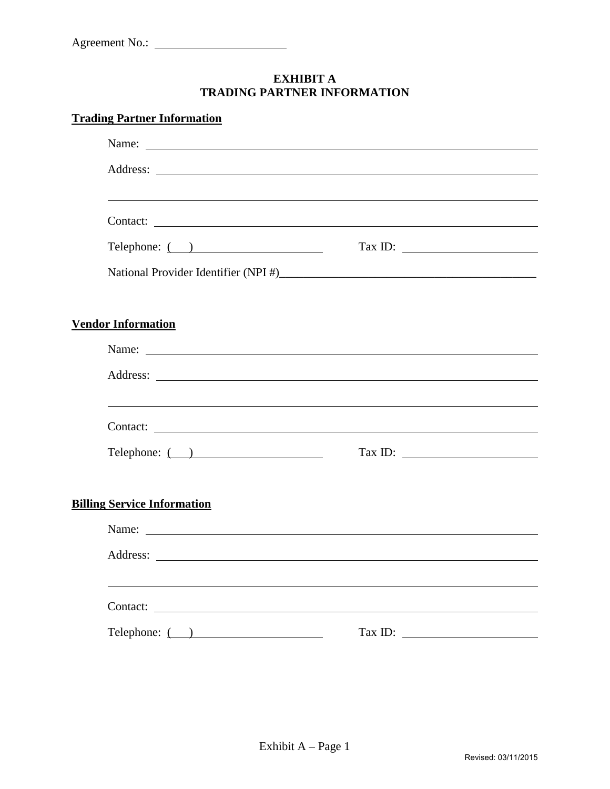# **EXHIBIT A TRADING PARTNER INFORMATION**

# **Trading Partner Information**

| Name: Name:                        |                                                                                                                                                                                                                                                                                                                                                                                                                                                                                                                                                                                                             |  |  |  |
|------------------------------------|-------------------------------------------------------------------------------------------------------------------------------------------------------------------------------------------------------------------------------------------------------------------------------------------------------------------------------------------------------------------------------------------------------------------------------------------------------------------------------------------------------------------------------------------------------------------------------------------------------------|--|--|--|
|                                    |                                                                                                                                                                                                                                                                                                                                                                                                                                                                                                                                                                                                             |  |  |  |
|                                    |                                                                                                                                                                                                                                                                                                                                                                                                                                                                                                                                                                                                             |  |  |  |
|                                    |                                                                                                                                                                                                                                                                                                                                                                                                                                                                                                                                                                                                             |  |  |  |
| $\text{Telephone: } ($ )           | $\boxed{\text{Tax ID:}\quad \textcolor{red}{\overbrace{\text{max} \text{ ID:}\quad \textcolor{blue}{\overbrace{\text{max} \text{ ID:}\quad \textcolor{blue}{\overbrace{\text{max} \text{ ID:}\quad \textcolor{blue}{\overbrace{\text{max} \text{ ID:}\quad \textcolor{blue}{\overbrace{\text{max} \text{ ID:}\quad \textcolor{blue}{\overbrace{\text{max} \text{ ID:}\quad \textcolor{blue}{\overbrace{\text{max} \text{ ID:}\quad \textcolor{blue}{\overbrace{\text{max} \text{ ID:}\quad \textcolor{blue}{\overbrace{\text{max} \text{ ID:}\quad \textcolor{blue}{\overbrace{\text{max} \text{ ID:}\quad$ |  |  |  |
|                                    |                                                                                                                                                                                                                                                                                                                                                                                                                                                                                                                                                                                                             |  |  |  |
|                                    |                                                                                                                                                                                                                                                                                                                                                                                                                                                                                                                                                                                                             |  |  |  |
| <b>Vendor Information</b>          |                                                                                                                                                                                                                                                                                                                                                                                                                                                                                                                                                                                                             |  |  |  |
| Name:                              |                                                                                                                                                                                                                                                                                                                                                                                                                                                                                                                                                                                                             |  |  |  |
|                                    |                                                                                                                                                                                                                                                                                                                                                                                                                                                                                                                                                                                                             |  |  |  |
|                                    |                                                                                                                                                                                                                                                                                                                                                                                                                                                                                                                                                                                                             |  |  |  |
| Contact:                           |                                                                                                                                                                                                                                                                                                                                                                                                                                                                                                                                                                                                             |  |  |  |
| $\text{Telephone: } ($ )           | $\boxed{\text{Tax ID:}\ \_\_\_\_\_}$                                                                                                                                                                                                                                                                                                                                                                                                                                                                                                                                                                        |  |  |  |
|                                    |                                                                                                                                                                                                                                                                                                                                                                                                                                                                                                                                                                                                             |  |  |  |
| <b>Billing Service Information</b> |                                                                                                                                                                                                                                                                                                                                                                                                                                                                                                                                                                                                             |  |  |  |
| Name:                              |                                                                                                                                                                                                                                                                                                                                                                                                                                                                                                                                                                                                             |  |  |  |
|                                    |                                                                                                                                                                                                                                                                                                                                                                                                                                                                                                                                                                                                             |  |  |  |
|                                    |                                                                                                                                                                                                                                                                                                                                                                                                                                                                                                                                                                                                             |  |  |  |
|                                    |                                                                                                                                                                                                                                                                                                                                                                                                                                                                                                                                                                                                             |  |  |  |
| Telephone: ( )                     | Tax ID: $\qquad \qquad \qquad$                                                                                                                                                                                                                                                                                                                                                                                                                                                                                                                                                                              |  |  |  |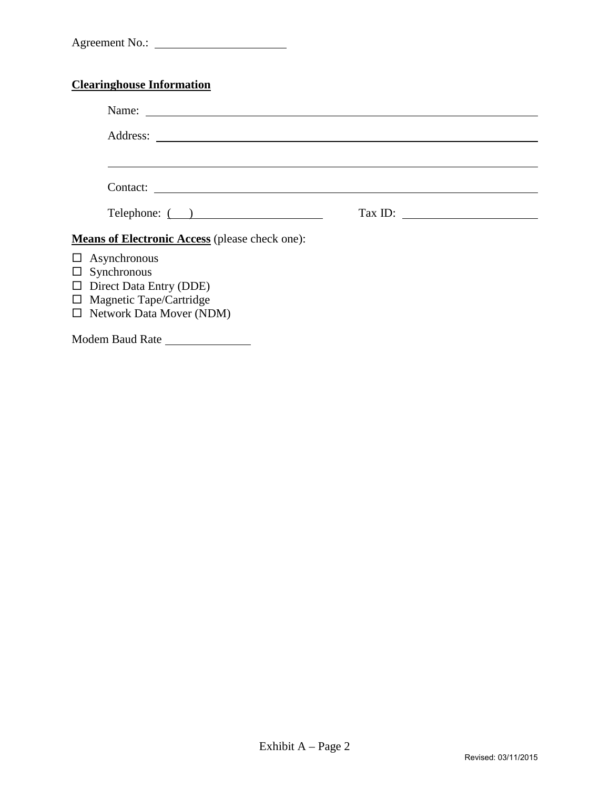# **Clearinghouse Information**

| Address:                                                                                                                                         |                          |
|--------------------------------------------------------------------------------------------------------------------------------------------------|--------------------------|
|                                                                                                                                                  |                          |
| Telephone: ()                                                                                                                                    | $\boxed{\text{Tax ID:}}$ |
| <b>Means of Electronic Access</b> (please check one):                                                                                            |                          |
| $\Box$ Asynchronous<br>$\Box$ Synchronous<br>$\Box$ Direct Data Entry (DDE)<br>$\Box$ Magnetic Tape/Cartridge<br>$\Box$ Network Data Mover (NDM) |                          |

Modem Baud Rate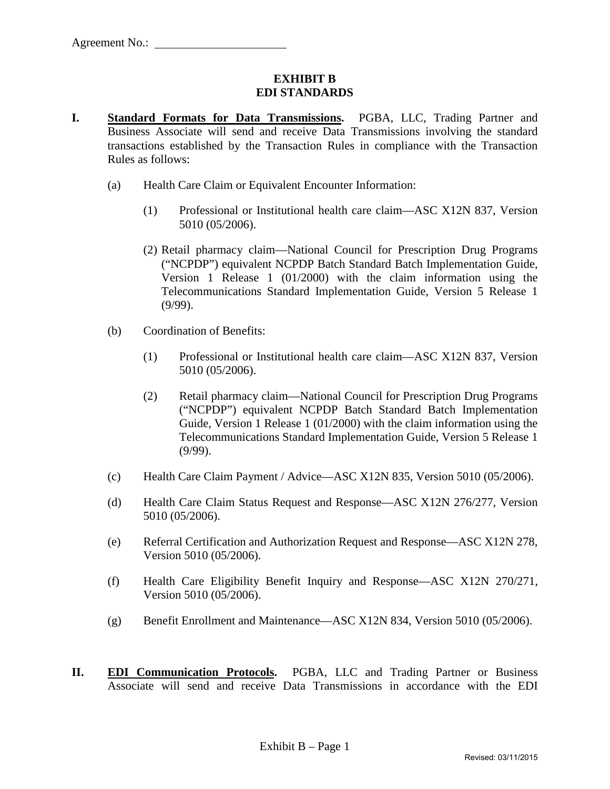#### **EXHIBIT B EDI STANDARDS**

- **I. Standard Formats for Data Transmissions.** PGBA, LLC, Trading Partner and Business Associate will send and receive Data Transmissions involving the standard transactions established by the Transaction Rules in compliance with the Transaction Rules as follows:
	- (a) Health Care Claim or Equivalent Encounter Information:
		- (1) Professional or Institutional health care claim—ASC X12N 837, Version 5010 (05/2006).
		- (2) Retail pharmacy claim—National Council for Prescription Drug Programs ("NCPDP") equivalent NCPDP Batch Standard Batch Implementation Guide, Version 1 Release 1 (01/2000) with the claim information using the Telecommunications Standard Implementation Guide, Version 5 Release 1 (9/99).
	- (b) Coordination of Benefits:
		- (1) Professional or Institutional health care claim—ASC X12N 837, Version 5010 (05/2006).
		- (2) Retail pharmacy claim—National Council for Prescription Drug Programs ("NCPDP") equivalent NCPDP Batch Standard Batch Implementation Guide, Version 1 Release 1 (01/2000) with the claim information using the Telecommunications Standard Implementation Guide, Version 5 Release 1 (9/99).
	- (c) Health Care Claim Payment / Advice—ASC X12N 835, Version 5010 (05/2006).
	- (d) Health Care Claim Status Request and Response—ASC X12N 276/277, Version 5010 (05/2006).
	- (e) Referral Certification and Authorization Request and Response—ASC X12N 278, Version 5010 (05/2006).
	- (f) Health Care Eligibility Benefit Inquiry and Response—ASC X12N 270/271, Version 5010 (05/2006).
	- (g) Benefit Enrollment and Maintenance—ASC X12N 834, Version 5010 (05/2006).
- **II. EDI Communication Protocols.** PGBA, LLC and Trading Partner or Business Associate will send and receive Data Transmissions in accordance with the EDI